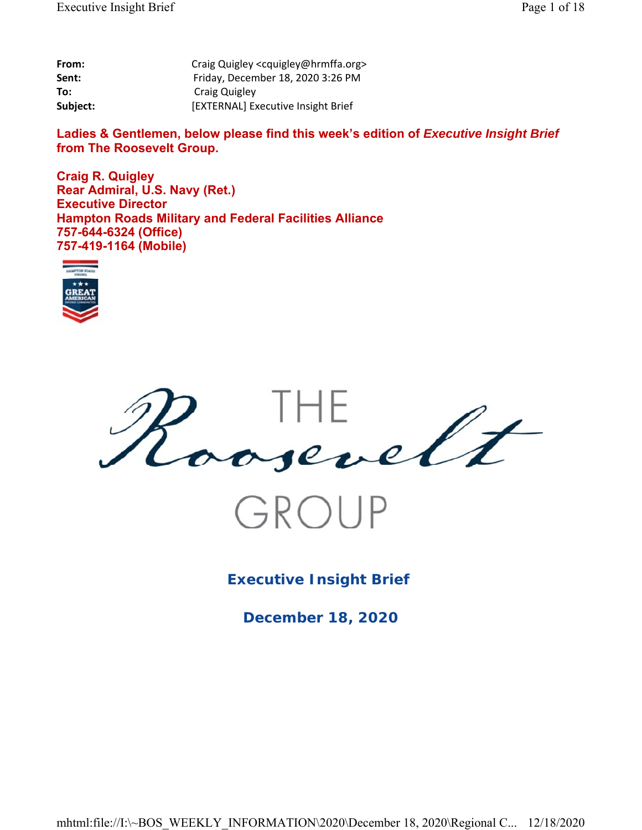| From:    | Craig Quigley <cquigley@hrmffa.org></cquigley@hrmffa.org> |
|----------|-----------------------------------------------------------|
| Sent:    | Friday, December 18, 2020 3:26 PM                         |
| To:      | Craig Quigley                                             |
| Subject: | [EXTERNAL] Executive Insight Brief                        |

Ladies & Gentlemen, below please find this week's edition of *Executive Insight Brief* **from The Roosevelt Group.**

**Craig R. Quigley Rear Admiral, U.S. Navy (Ret.) Executive Director Hampton Roads Military and Federal Facilities Alliance 757-644-6324 (Office) 757-419-1164 (Mobile)**





**Executive Insight Brief** 

**December 18, 2020**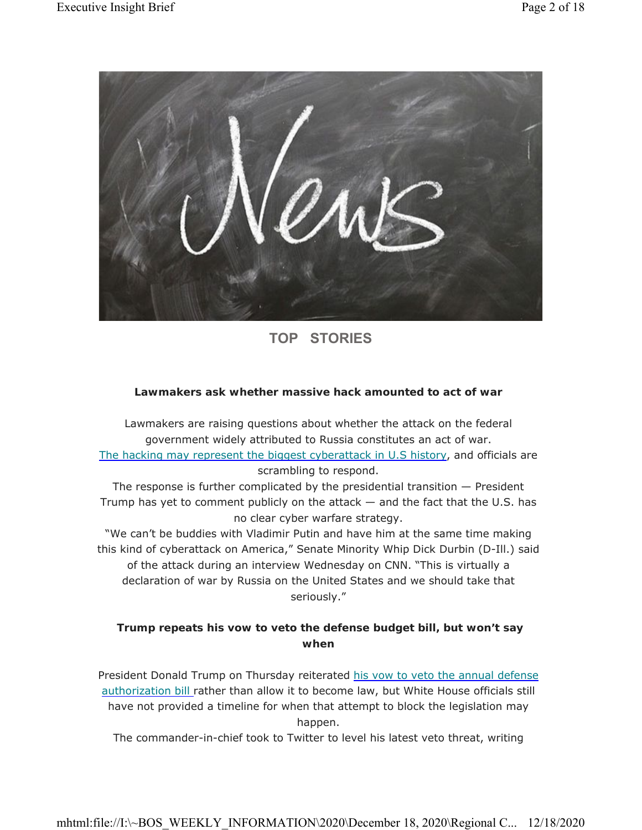

# **TOP STORIES**

# **Lawmakers ask whether massive hack amounted to act of war**

Lawmakers are raising questions about whether the attack on the federal government widely attributed to Russia constitutes an act of war. The hacking may represent the biggest cyberattack in U.S history, and officials are scrambling to respond.

The response is further complicated by the presidential transition — President Trump has yet to comment publicly on the attack — and the fact that the U.S. has no clear cyber warfare strategy.

"We can't be buddies with Vladimir Putin and have him at the same time making this kind of cyberattack on America," Senate Minority Whip Dick Durbin (D-Ill.) said of the attack during an interview Wednesday on CNN. "This is virtually a declaration of war by Russia on the United States and we should take that seriously."

# **Trump repeats his vow to veto the defense budget bill, but won't say when**

President Donald Trump on Thursday reiterated his vow to veto the annual defense authorization bill rather than allow it to become law, but White House officials still have not provided a timeline for when that attempt to block the legislation may happen.

The commander-in-chief took to Twitter to level his latest veto threat, writing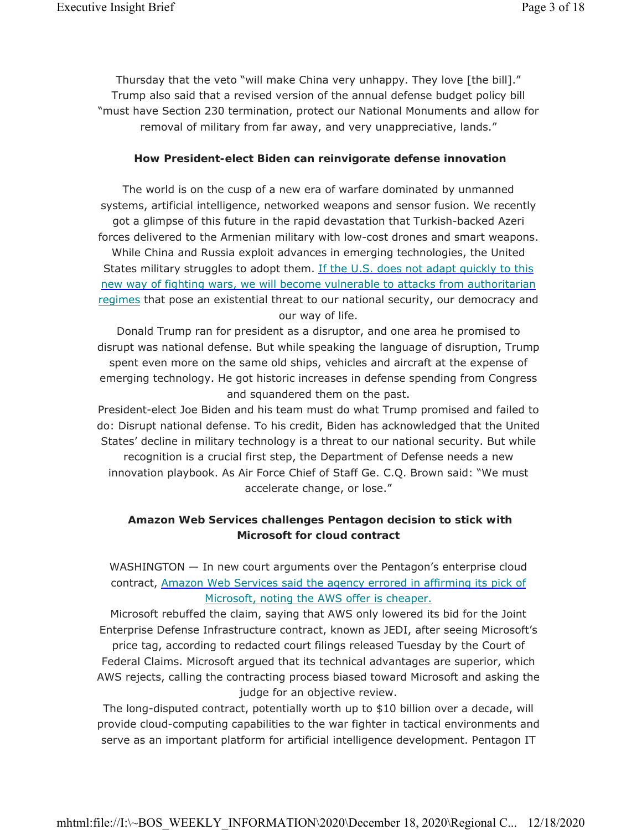Thursday that the veto "will make China very unhappy. They love [the bill]." Trump also said that a revised version of the annual defense budget policy bill "must have Section 230 termination, protect our National Monuments and allow for removal of military from far away, and very unappreciative, lands."

#### **How President-elect Biden can reinvigorate defense innovation**

The world is on the cusp of a new era of warfare dominated by unmanned systems, artificial intelligence, networked weapons and sensor fusion. We recently got a glimpse of this future in the rapid devastation that Turkish-backed Azeri forces delivered to the Armenian military with low-cost drones and smart weapons. While China and Russia exploit advances in emerging technologies, the United States military struggles to adopt them. If the U.S. does not adapt quickly to this new way of fighting wars, we will become vulnerable to attacks from authoritarian regimes that pose an existential threat to our national security, our democracy and our way of life.

Donald Trump ran for president as a disruptor, and one area he promised to disrupt was national defense. But while speaking the language of disruption, Trump spent even more on the same old ships, vehicles and aircraft at the expense of emerging technology. He got historic increases in defense spending from Congress and squandered them on the past.

President-elect Joe Biden and his team must do what Trump promised and failed to do: Disrupt national defense. To his credit, Biden has acknowledged that the United States' decline in military technology is a threat to our national security. But while recognition is a crucial first step, the Department of Defense needs a new innovation playbook. As Air Force Chief of Staff Ge. C.Q. Brown said: "We must accelerate change, or lose."

# **Amazon Web Services challenges Pentagon decision to stick with Microsoft for cloud contract**

WASHINGTON - In new court arguments over the Pentagon's enterprise cloud contract, Amazon Web Services said the agency errored in affirming its pick of Microsoft, noting the AWS offer is cheaper.

Microsoft rebuffed the claim, saying that AWS only lowered its bid for the Joint Enterprise Defense Infrastructure contract, known as JEDI, after seeing Microsoft's price tag, according to redacted court filings released Tuesday by the Court of Federal Claims. Microsoft argued that its technical advantages are superior, which AWS rejects, calling the contracting process biased toward Microsoft and asking the judge for an objective review.

The long-disputed contract, potentially worth up to \$10 billion over a decade, will provide cloud-computing capabilities to the war fighter in tactical environments and serve as an important platform for artificial intelligence development. Pentagon IT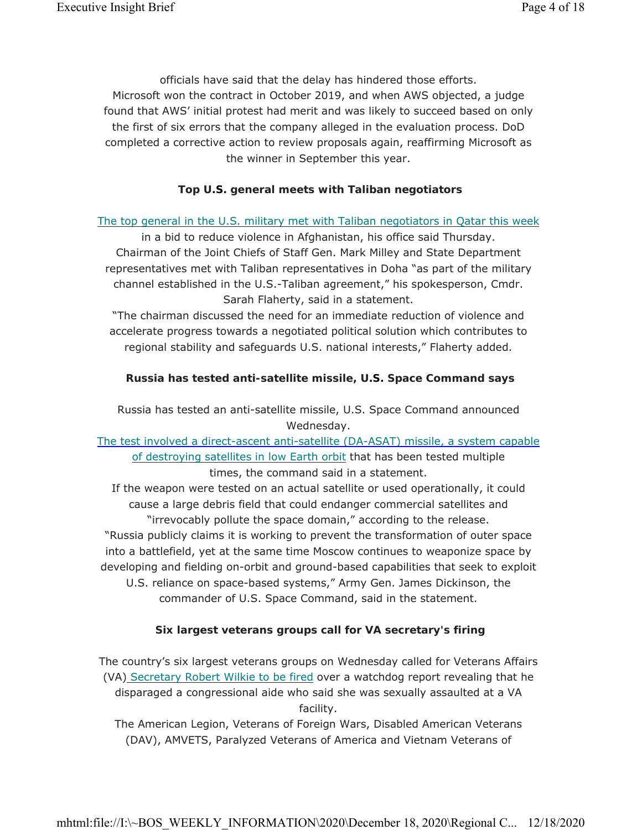officials have said that the delay has hindered those efforts. Microsoft won the contract in October 2019, and when AWS objected, a judge found that AWS' initial protest had merit and was likely to succeed based on only the first of six errors that the company alleged in the evaluation process. DoD completed a corrective action to review proposals again, reaffirming Microsoft as the winner in September this year.

# **Top U.S. general meets with Taliban negotiators**

### The top general in the U.S. military met with Taliban negotiators in Qatar this week

in a bid to reduce violence in Afghanistan, his office said Thursday. Chairman of the Joint Chiefs of Staff Gen. Mark Milley and State Department representatives met with Taliban representatives in Doha "as part of the military channel established in the U.S.-Taliban agreement," his spokesperson, Cmdr. Sarah Flaherty, said in a statement.

"The chairman discussed the need for an immediate reduction of violence and accelerate progress towards a negotiated political solution which contributes to regional stability and safeguards U.S. national interests," Flaherty added.

# **Russia has tested anti-satellite missile, U.S. Space Command says**

Russia has tested an anti-satellite missile, U.S. Space Command announced Wednesday.

The test involved a direct-ascent anti-satellite (DA-ASAT) missile, a system capable of destroying satellites in low Earth orbit that has been tested multiple times, the command said in a statement.

If the weapon were tested on an actual satellite or used operationally, it could cause a large debris field that could endanger commercial satellites and "irrevocably pollute the space domain," according to the release.

"Russia publicly claims it is working to prevent the transformation of outer space into a battlefield, yet at the same time Moscow continues to weaponize space by developing and fielding on-orbit and ground-based capabilities that seek to exploit

U.S. reliance on space-based systems," Army Gen. James Dickinson, the commander of U.S. Space Command, said in the statement.

# **Six largest veterans groups call for VA secretary's firing**

The country's six largest veterans groups on Wednesday called for Veterans Affairs (VA) Secretary Robert Wilkie to be fired over a watchdog report revealing that he disparaged a congressional aide who said she was sexually assaulted at a VA facility.

The American Legion, Veterans of Foreign Wars, Disabled American Veterans (DAV), AMVETS, Paralyzed Veterans of America and Vietnam Veterans of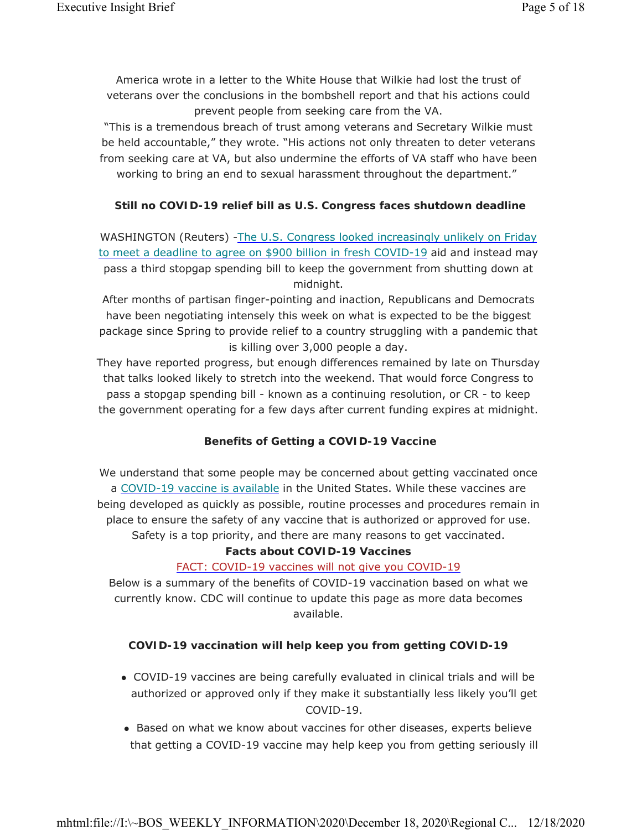America wrote in a letter to the White House that Wilkie had lost the trust of veterans over the conclusions in the bombshell report and that his actions could prevent people from seeking care from the VA.

"This is a tremendous breach of trust among veterans and Secretary Wilkie must be held accountable," they wrote. "His actions not only threaten to deter veterans from seeking care at VA, but also undermine the efforts of VA staff who have been working to bring an end to sexual harassment throughout the department."

# **Still no COVID-19 relief bill as U.S. Congress faces shutdown deadline**

WASHINGTON (Reuters) -The U.S. Congress looked increasingly unlikely on Friday to meet a deadline to agree on \$900 billion in fresh COVID-19 aid and instead may pass a third stopgap spending bill to keep the government from shutting down at midnight.

After months of partisan finger-pointing and inaction, Republicans and Democrats have been negotiating intensely this week on what is expected to be the biggest package since Spring to provide relief to a country struggling with a pandemic that is killing over 3,000 people a day.

They have reported progress, but enough differences remained by late on Thursday that talks looked likely to stretch into the weekend. That would force Congress to pass a stopgap spending bill - known as a continuing resolution, or CR - to keep the government operating for a few days after current funding expires at midnight.

#### **Benefits of Getting a COVID-19 Vaccine**

We understand that some people may be concerned about getting vaccinated once a COVID-19 vaccine is available in the United States. While these vaccines are being developed as quickly as possible, routine processes and procedures remain in place to ensure the safety of any vaccine that is authorized or approved for use. Safety is a top priority, and there are many reasons to get vaccinated.

#### **Facts about COVID-19 Vaccines**

#### FACT: COVID-19 vaccines will not give you COVID-19

Below is a summary of the benefits of COVID-19 vaccination based on what we currently know. CDC will continue to update this page as more data becomes available.

#### **COVID-19 vaccination will help keep you from getting COVID-19**

- COVID-19 vaccines are being carefully evaluated in clinical trials and will be authorized or approved only if they make it substantially less likely you'll get COVID-19.
- Based on what we know about vaccines for other diseases, experts believe that getting a COVID-19 vaccine may help keep you from getting seriously ill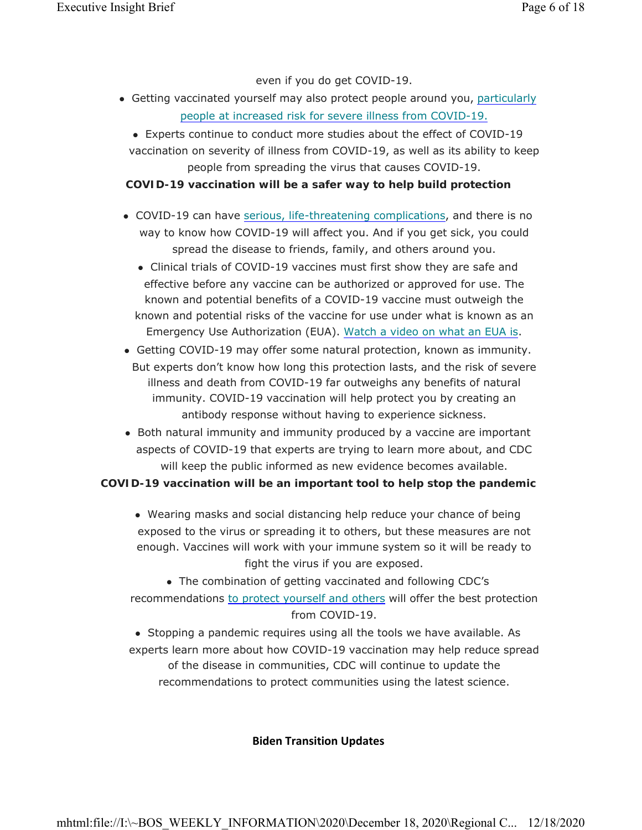even if you do get COVID-19.

- Getting vaccinated yourself may also protect people around you, particularly people at increased risk for severe illness from COVID-19.
	- Experts continue to conduct more studies about the effect of COVID-19 vaccination on severity of illness from COVID-19, as well as its ability to keep people from spreading the virus that causes COVID-19.

**COVID-19 vaccination will be a safer way to help build protection**

- COVID-19 can have serious, life-threatening complications, and there is no way to know how COVID-19 will affect you. And if you get sick, you could spread the disease to friends, family, and others around you.
	- Clinical trials of COVID-19 vaccines must first show they are safe and effective before any vaccine can be authorized or approved for use. The known and potential benefits of a COVID-19 vaccine must outweigh the known and potential risks of the vaccine for use under what is known as an Emergency Use Authorization (EUA). Watch a video on what an EUA is.
- Getting COVID-19 may offer some natural protection, known as immunity. But experts don't know how long this protection lasts, and the risk of severe illness and death from COVID-19 far outweighs any benefits of natural immunity. COVID-19 vaccination will help protect you by creating an antibody response without having to experience sickness.
- Both natural immunity and immunity produced by a vaccine are important aspects of COVID-19 that experts are trying to learn more about, and CDC will keep the public informed as new evidence becomes available.

#### **COVID-19 vaccination will be an important tool to help stop the pandemic**

 Wearing masks and social distancing help reduce your chance of being exposed to the virus or spreading it to others, but these measures are not enough. Vaccines will work with your immune system so it will be ready to fight the virus if you are exposed.

 The combination of getting vaccinated and following CDC's recommendations to protect yourself and others will offer the best protection from COVID-19.

 Stopping a pandemic requires using all the tools we have available. As experts learn more about how COVID-19 vaccination may help reduce spread of the disease in communities, CDC will continue to update the recommendations to protect communities using the latest science.

#### **Biden Transition Updates**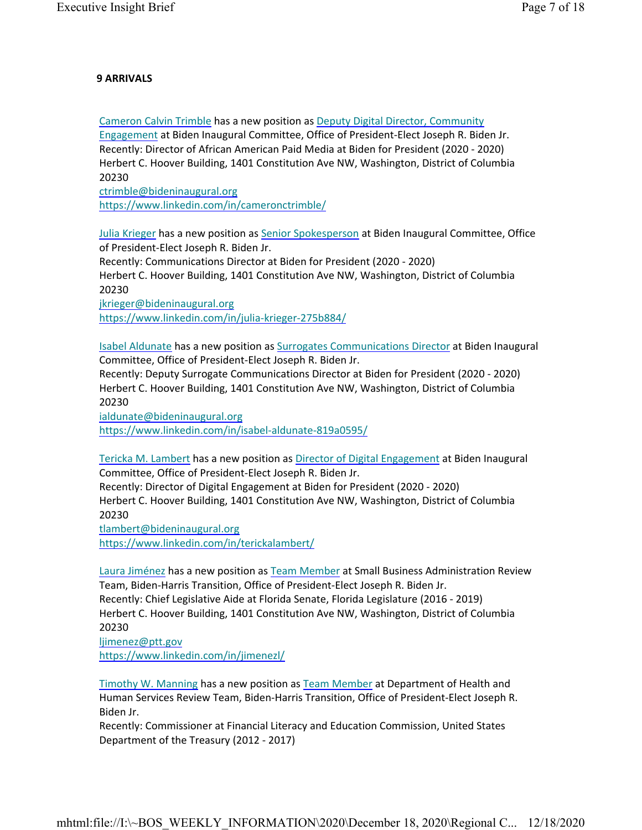#### **9 ARRIVALS**

Cameron Calvin Trimble has a new position as Deputy Digital Director, Community Engagement at Biden Inaugural Committee, Office of President-Elect Joseph R. Biden Jr. Recently: Director of African American Paid Media at Biden for President (2020 - 2020) Herbert C. Hoover Building, 1401 Constitution Ave NW, Washington, District of Columbia 20230

ctrimble@bideninaugural.org https://www.linkedin.com/in/cameronctrimble/

Julia Krieger has a new position as Senior Spokesperson at Biden Inaugural Committee, Office of President-Elect Joseph R. Biden Jr.

Recently: Communications Director at Biden for President (2020 - 2020)

Herbert C. Hoover Building, 1401 Constitution Ave NW, Washington, District of Columbia 20230

jkrieger@bideninaugural.org

https://www.linkedin.com/in/julia-krieger-275b884/

Isabel Aldunate has a new position as Surrogates Communications Director at Biden Inaugural Committee, Office of President-Elect Joseph R. Biden Jr.

Recently: Deputy Surrogate Communications Director at Biden for President (2020 - 2020) Herbert C. Hoover Building, 1401 Constitution Ave NW, Washington, District of Columbia 20230

ialdunate@bideninaugural.org https://www.linkedin.com/in/isabel-aldunate-819a0595/

Tericka M. Lambert has a new position as Director of Digital Engagement at Biden Inaugural Committee, Office of President-Elect Joseph R. Biden Jr.

Recently: Director of Digital Engagement at Biden for President (2020 - 2020) Herbert C. Hoover Building, 1401 Constitution Ave NW, Washington, District of Columbia 20230

tlambert@bideninaugural.org https://www.linkedin.com/in/terickalambert/

Laura Jiménez has a new position as Team Member at Small Business Administration Review Team, Biden-Harris Transition, Office of President-Elect Joseph R. Biden Jr. Recently: Chief Legislative Aide at Florida Senate, Florida Legislature (2016 - 2019) Herbert C. Hoover Building, 1401 Constitution Ave NW, Washington, District of Columbia 20230

ljimenez@ptt.gov https://www.linkedin.com/in/jimenezl/

Timothy W. Manning has a new position as Team Member at Department of Health and Human Services Review Team, Biden-Harris Transition, Office of President-Elect Joseph R. Biden Jr.

Recently: Commissioner at Financial Literacy and Education Commission, United States Department of the Treasury (2012 - 2017)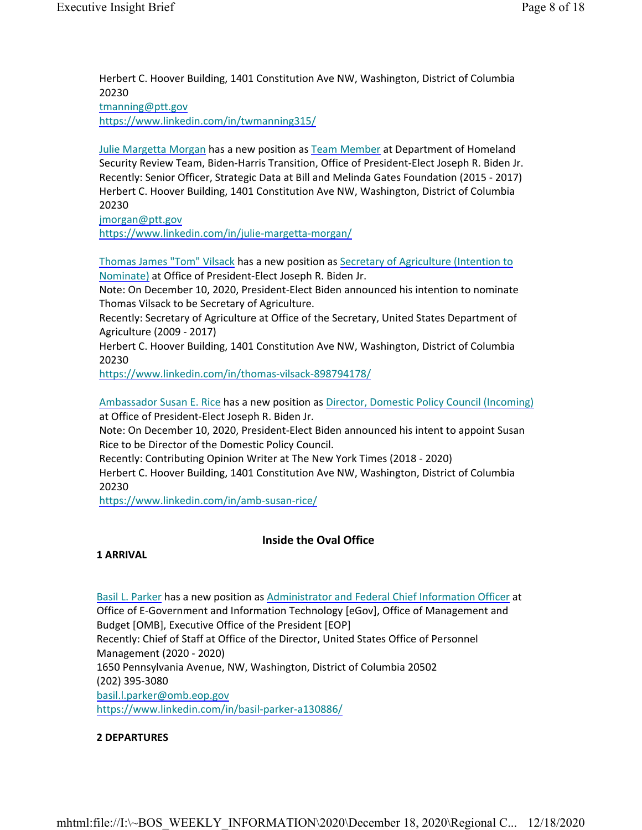Herbert C. Hoover Building, 1401 Constitution Ave NW, Washington, District of Columbia 20230 tmanning@ptt.gov https://www.linkedin.com/in/twmanning315/

Julie Margetta Morgan has a new position as Team Member at Department of Homeland Security Review Team, Biden-Harris Transition, Office of President-Elect Joseph R. Biden Jr. Recently: Senior Officer, Strategic Data at Bill and Melinda Gates Foundation (2015 - 2017) Herbert C. Hoover Building, 1401 Constitution Ave NW, Washington, District of Columbia 20230

jmorgan@ptt.gov

https://www.linkedin.com/in/julie-margetta-morgan/

Thomas James "Tom" Vilsack has a new position as Secretary of Agriculture (Intention to Nominate) at Office of President-Elect Joseph R. Biden Jr.

Note: On December 10, 2020, President-Elect Biden announced his intention to nominate Thomas Vilsack to be Secretary of Agriculture.

Recently: Secretary of Agriculture at Office of the Secretary, United States Department of Agriculture (2009 - 2017)

Herbert C. Hoover Building, 1401 Constitution Ave NW, Washington, District of Columbia 20230

https://www.linkedin.com/in/thomas-vilsack-898794178/

Ambassador Susan E. Rice has a new position as Director, Domestic Policy Council (Incoming) at Office of President-Elect Joseph R. Biden Jr.

Note: On December 10, 2020, President-Elect Biden announced his intent to appoint Susan Rice to be Director of the Domestic Policy Council.

Recently: Contributing Opinion Writer at The New York Times (2018 - 2020)

Herbert C. Hoover Building, 1401 Constitution Ave NW, Washington, District of Columbia 20230

https://www.linkedin.com/in/amb-susan-rice/

#### **Inside the Oval Office**

#### **1 ARRIVAL**

Basil L. Parker has a new position as Administrator and Federal Chief Information Officer at Office of E-Government and Information Technology [eGov], Office of Management and Budget [OMB], Executive Office of the President [EOP] Recently: Chief of Staff at Office of the Director, United States Office of Personnel Management (2020 - 2020) 1650 Pennsylvania Avenue, NW, Washington, District of Columbia 20502 (202) 395-3080 basil.l.parker@omb.eop.gov https://www.linkedin.com/in/basil-parker-a130886/

#### **2 DEPARTURES**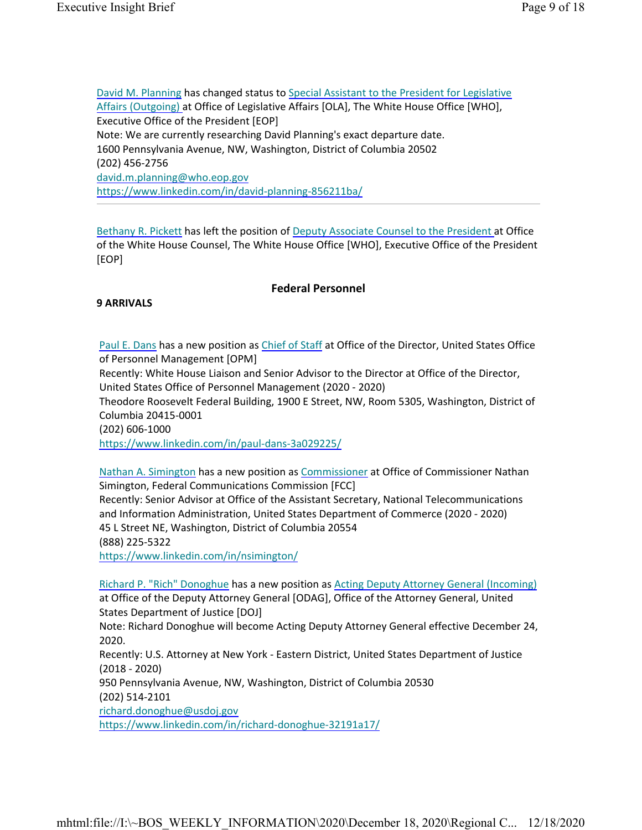David M. Planning has changed status to Special Assistant to the President for Legislative Affairs (Outgoing) at Office of Legislative Affairs [OLA], The White House Office [WHO], Executive Office of the President [EOP] Note: We are currently researching David Planning's exact departure date. 1600 Pennsylvania Avenue, NW, Washington, District of Columbia 20502 (202) 456-2756 david.m.planning@who.eop.gov https://www.linkedin.com/in/david-planning-856211ba/

Bethany R. Pickett has left the position of Deputy Associate Counsel to the President at Office of the White House Counsel, The White House Office [WHO], Executive Office of the President [EOP]

### **Federal Personnel**

### **9 ARRIVALS**

Paul E. Dans has a new position as Chief of Staff at Office of the Director, United States Office of Personnel Management [OPM]

Recently: White House Liaison and Senior Advisor to the Director at Office of the Director, United States Office of Personnel Management (2020 - 2020)

Theodore Roosevelt Federal Building, 1900 E Street, NW, Room 5305, Washington, District of Columbia 20415-0001

(202) 606-1000

https://www.linkedin.com/in/paul-dans-3a029225/

Nathan A. Simington has a new position as Commissioner at Office of Commissioner Nathan Simington, Federal Communications Commission [FCC] Recently: Senior Advisor at Office of the Assistant Secretary, National Telecommunications and Information Administration, United States Department of Commerce (2020 - 2020) 45 L Street NE, Washington, District of Columbia 20554 (888) 225-5322

https://www.linkedin.com/in/nsimington/

Richard P. "Rich" Donoghue has a new position as Acting Deputy Attorney General (Incoming) at Office of the Deputy Attorney General [ODAG], Office of the Attorney General, United States Department of Justice [DOJ]

Note: Richard Donoghue will become Acting Deputy Attorney General effective December 24, 2020.

Recently: U.S. Attorney at New York - Eastern District, United States Department of Justice (2018 - 2020)

950 Pennsylvania Avenue, NW, Washington, District of Columbia 20530 (202) 514-2101

richard.donoghue@usdoj.gov https://www.linkedin.com/in/richard-donoghue-32191a17/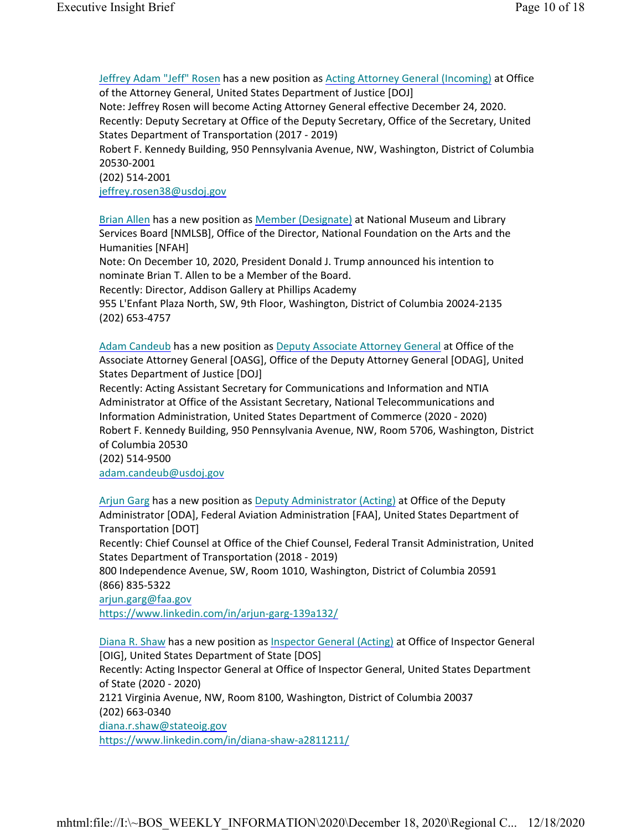Jeffrey Adam "Jeff" Rosen has a new position as Acting Attorney General (Incoming) at Office of the Attorney General, United States Department of Justice [DOJ]

Note: Jeffrey Rosen will become Acting Attorney General effective December 24, 2020. Recently: Deputy Secretary at Office of the Deputy Secretary, Office of the Secretary, United States Department of Transportation (2017 - 2019)

Robert F. Kennedy Building, 950 Pennsylvania Avenue, NW, Washington, District of Columbia 20530-2001

(202) 514-2001

jeffrey.rosen38@usdoj.gov

Brian Allen has a new position as Member (Designate) at National Museum and Library Services Board [NMLSB], Office of the Director, National Foundation on the Arts and the Humanities [NFAH]

Note: On December 10, 2020, President Donald J. Trump announced his intention to nominate Brian T. Allen to be a Member of the Board.

Recently: Director, Addison Gallery at Phillips Academy

955 L'Enfant Plaza North, SW, 9th Floor, Washington, District of Columbia 20024-2135 (202) 653-4757

Adam Candeub has a new position as Deputy Associate Attorney General at Office of the Associate Attorney General [OASG], Office of the Deputy Attorney General [ODAG], United States Department of Justice [DOJ]

Recently: Acting Assistant Secretary for Communications and Information and NTIA Administrator at Office of the Assistant Secretary, National Telecommunications and Information Administration, United States Department of Commerce (2020 - 2020) Robert F. Kennedy Building, 950 Pennsylvania Avenue, NW, Room 5706, Washington, District of Columbia 20530

(202) 514-9500

adam.candeub@usdoj.gov

Arjun Garg has a new position as Deputy Administrator (Acting) at Office of the Deputy Administrator [ODA], Federal Aviation Administration [FAA], United States Department of Transportation [DOT]

Recently: Chief Counsel at Office of the Chief Counsel, Federal Transit Administration, United States Department of Transportation (2018 - 2019)

800 Independence Avenue, SW, Room 1010, Washington, District of Columbia 20591 (866) 835-5322

arjun.garg@faa.gov

https://www.linkedin.com/in/arjun-garg-139a132/

Diana R. Shaw has a new position as Inspector General (Acting) at Office of Inspector General [OIG], United States Department of State [DOS] Recently: Acting Inspector General at Office of Inspector General, United States Department of State (2020 - 2020) 2121 Virginia Avenue, NW, Room 8100, Washington, District of Columbia 20037 (202) 663-0340 diana.r.shaw@stateoig.gov https://www.linkedin.com/in/diana-shaw-a2811211/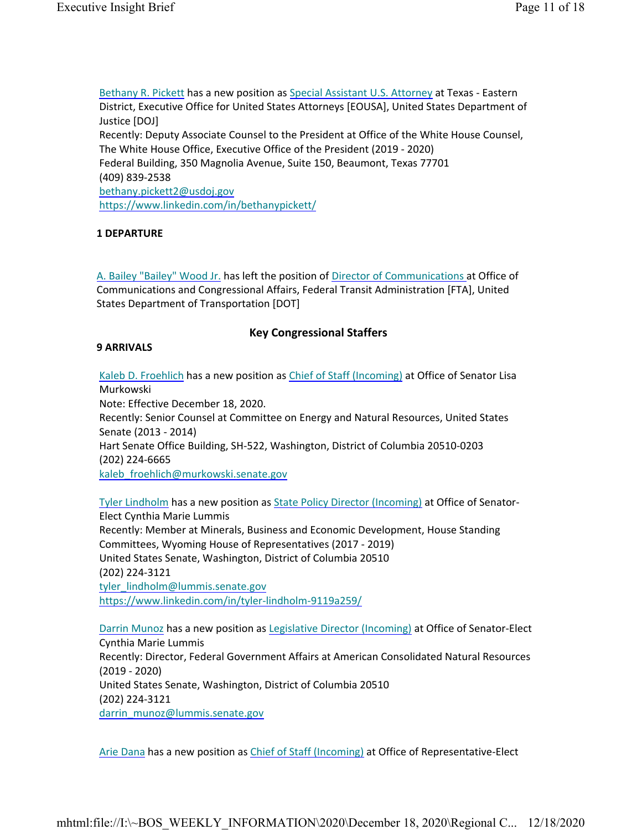Bethany R. Pickett has a new position as Special Assistant U.S. Attorney at Texas - Eastern District, Executive Office for United States Attorneys [EOUSA], United States Department of Justice [DOJ] Recently: Deputy Associate Counsel to the President at Office of the White House Counsel, The White House Office, Executive Office of the President (2019 - 2020) Federal Building, 350 Magnolia Avenue, Suite 150, Beaumont, Texas 77701 (409) 839-2538 bethany.pickett2@usdoj.gov https://www.linkedin.com/in/bethanypickett/

### **1 DEPARTURE**

A. Bailey "Bailey" Wood Jr. has left the position of Director of Communications at Office of Communications and Congressional Affairs, Federal Transit Administration [FTA], United States Department of Transportation [DOT]

### **Key Congressional Staffers**

#### **9 ARRIVALS**

Kaleb D. Froehlich has a new position as Chief of Staff (Incoming) at Office of Senator Lisa Murkowski Note: Effective December 18, 2020. Recently: Senior Counsel at Committee on Energy and Natural Resources, United States

Senate (2013 - 2014) Hart Senate Office Building, SH-522, Washington, District of Columbia 20510-0203 (202) 224-6665

kaleb froehlich@murkowski.senate.gov

Tyler Lindholm has a new position as State Policy Director (Incoming) at Office of Senator-Elect Cynthia Marie Lummis Recently: Member at Minerals, Business and Economic Development, House Standing Committees, Wyoming House of Representatives (2017 - 2019) United States Senate, Washington, District of Columbia 20510 (202) 224-3121 tyler\_lindholm@lummis.senate.gov https://www.linkedin.com/in/tyler-lindholm-9119a259/

Darrin Munoz has a new position as Legislative Director (Incoming) at Office of Senator-Elect Cynthia Marie Lummis Recently: Director, Federal Government Affairs at American Consolidated Natural Resources (2019 - 2020) United States Senate, Washington, District of Columbia 20510 (202) 224-3121 darrin\_munoz@lummis.senate.gov

Arie Dana has a new position as Chief of Staff (Incoming) at Office of Representative-Elect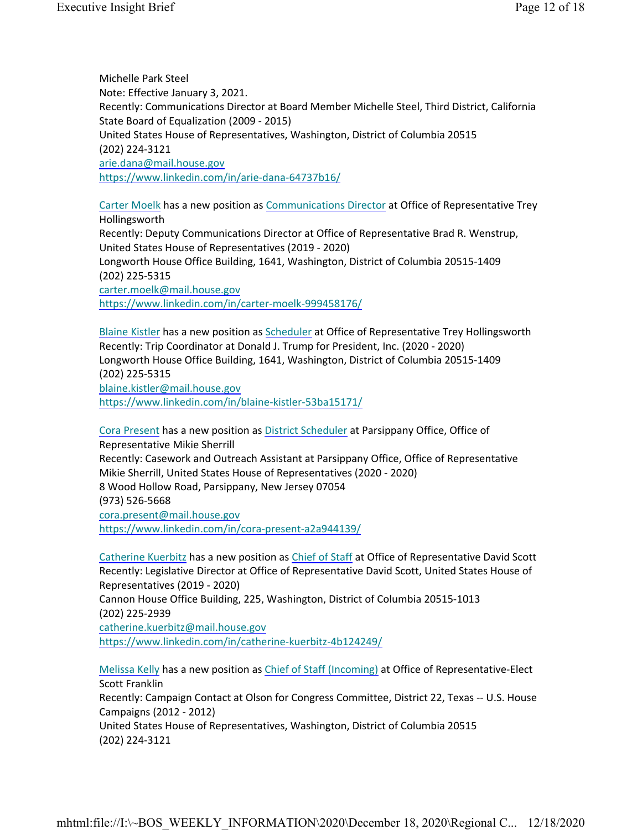Michelle Park Steel Note: Effective January 3, 2021. Recently: Communications Director at Board Member Michelle Steel, Third District, California State Board of Equalization (2009 - 2015) United States House of Representatives, Washington, District of Columbia 20515 (202) 224-3121 arie.dana@mail.house.gov https://www.linkedin.com/in/arie-dana-64737b16/

Carter Moelk has a new position as Communications Director at Office of Representative Trey Hollingsworth Recently: Deputy Communications Director at Office of Representative Brad R. Wenstrup, United States House of Representatives (2019 - 2020) Longworth House Office Building, 1641, Washington, District of Columbia 20515-1409 (202) 225-5315 carter.moelk@mail.house.gov https://www.linkedin.com/in/carter-moelk-999458176/

Blaine Kistler has a new position as Scheduler at Office of Representative Trey Hollingsworth Recently: Trip Coordinator at Donald J. Trump for President, Inc. (2020 - 2020) Longworth House Office Building, 1641, Washington, District of Columbia 20515-1409 (202) 225-5315 blaine.kistler@mail.house.gov https://www.linkedin.com/in/blaine-kistler-53ba15171/

Cora Present has a new position as District Scheduler at Parsippany Office, Office of Representative Mikie Sherrill Recently: Casework and Outreach Assistant at Parsippany Office, Office of Representative Mikie Sherrill, United States House of Representatives (2020 - 2020) 8 Wood Hollow Road, Parsippany, New Jersey 07054 (973) 526-5668 cora.present@mail.house.gov https://www.linkedin.com/in/cora-present-a2a944139/

Catherine Kuerbitz has a new position as Chief of Staff at Office of Representative David Scott Recently: Legislative Director at Office of Representative David Scott, United States House of Representatives (2019 - 2020)

Cannon House Office Building, 225, Washington, District of Columbia 20515-1013 (202) 225-2939

catherine.kuerbitz@mail.house.gov https://www.linkedin.com/in/catherine-kuerbitz-4b124249/

Melissa Kelly has a new position as Chief of Staff (Incoming) at Office of Representative-Elect Scott Franklin

Recently: Campaign Contact at Olson for Congress Committee, District 22, Texas -- U.S. House Campaigns (2012 - 2012)

United States House of Representatives, Washington, District of Columbia 20515 (202) 224-3121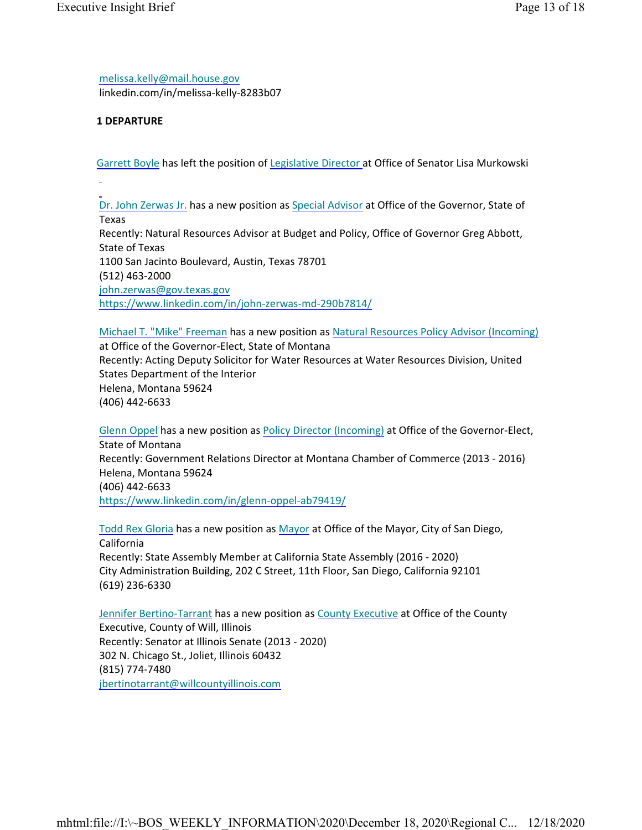melissa.kelly@mail.house.gov linkedin.com/in/melissa-kelly-8283b07

#### **1 DEPARTURE**

Garrett Boyle has left the position of Legislative Director at Office of Senator Lisa Murkowski

Dr. John Zerwas Jr. has a new position as Special Advisor at Office of the Governor, State of Texas Recently: Natural Resources Advisor at Budget and Policy, Office of Governor Greg Abbott, State of Texas 1100 San Jacinto Boulevard, Austin, Texas 78701 (512) 463-2000 john.zerwas@gov.texas.gov https://www.linkedin.com/in/john-zerwas-md-290b7814/

Michael T. "Mike" Freeman has a new position as Natural Resources Policy Advisor (Incoming) at Office of the Governor-Elect, State of Montana Recently: Acting Deputy Solicitor for Water Resources at Water Resources Division, United States Department of the Interior Helena, Montana 59624 (406) 442-6633

Glenn Oppel has a new position as Policy Director (Incoming) at Office of the Governor-Elect, State of Montana Recently: Government Relations Director at Montana Chamber of Commerce (2013 - 2016) Helena, Montana 59624 (406) 442-6633 https://www.linkedin.com/in/glenn-oppel-ab79419/

Todd Rex Gloria has a new position as Mayor at Office of the Mayor, City of San Diego, California Recently: State Assembly Member at California State Assembly (2016 - 2020) City Administration Building, 202 C Street, 11th Floor, San Diego, California 92101 (619) 236-6330

Jennifer Bertino-Tarrant has a new position as County Executive at Office of the County Executive, County of Will, Illinois Recently: Senator at Illinois Senate (2013 - 2020) 302 N. Chicago St., Joliet, Illinois 60432 (815) 774-7480 jbertinotarrant@willcountyillinois.com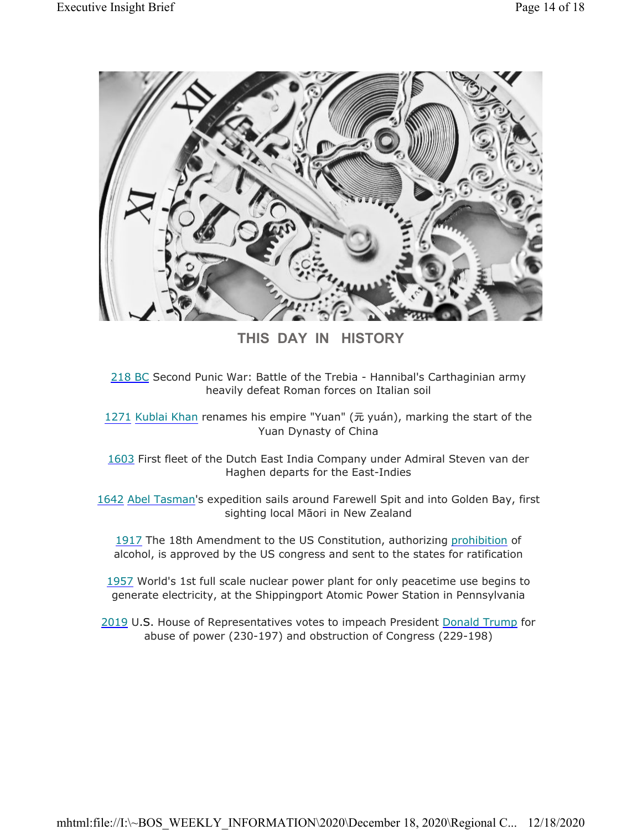

**THIS DAY IN HISTORY**

218 BC Second Punic War: Battle of the Trebia - Hannibal's Carthaginian army heavily defeat Roman forces on Italian soil

1271 Kublai Khan renames his empire "Yuan" (元 yuán), marking the start of the Yuan Dynasty of China

1603 First fleet of the Dutch East India Company under Admiral Steven van der Haghen departs for the East-Indies

1642 Abel Tasman's expedition sails around Farewell Spit and into Golden Bay, first sighting local Māori in New Zealand

1917 The 18th Amendment to the US Constitution, authorizing prohibition of alcohol, is approved by the US congress and sent to the states for ratification

1957 World's 1st full scale nuclear power plant for only peacetime use begins to generate electricity, at the Shippingport Atomic Power Station in Pennsylvania

2019 U.S. House of Representatives votes to impeach President Donald Trump for abuse of power (230-197) and obstruction of Congress (229-198)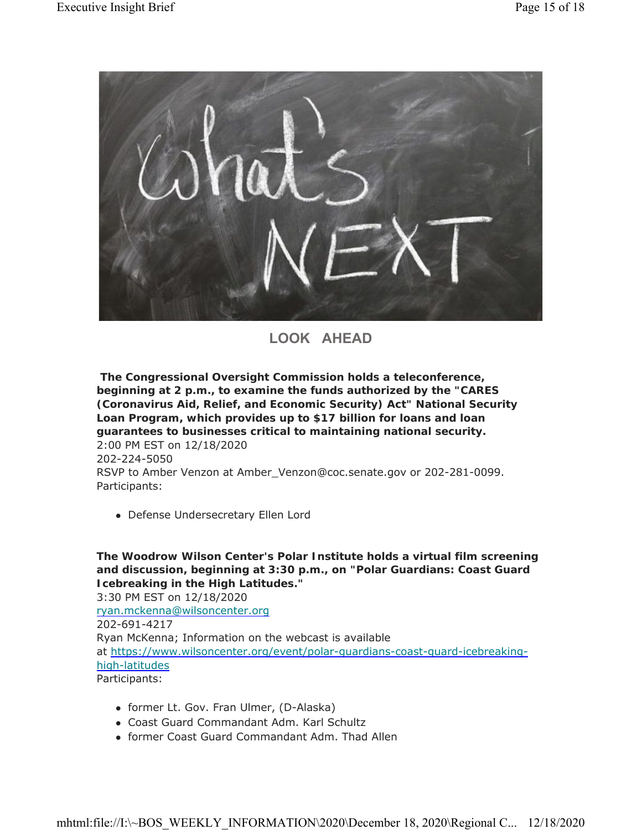

**LOOK AHEAD**

**The Congressional Oversight Commission holds a teleconference, beginning at 2 p.m., to examine the funds authorized by the "CARES (Coronavirus Aid, Relief, and Economic Security) Act" National Security Loan Program, which provides up to \$17 billion for loans and loan guarantees to businesses critical to maintaining national security.** 2:00 PM EST on 12/18/2020

202-224-5050

RSVP to Amber Venzon at Amber\_Venzon@coc.senate.gov or 202-281-0099. Participants:

Defense Undersecretary Ellen Lord

**The Woodrow Wilson Center's Polar Institute holds a virtual film screening and discussion, beginning at 3:30 p.m., on "Polar Guardians: Coast Guard Icebreaking in the High Latitudes."** 3:30 PM EST on 12/18/2020 ryan.mckenna@wilsoncenter.org 202-691-4217 Ryan McKenna; Information on the webcast is available at https://www.wilsoncenter.org/event/polar-guardians-coast-guard-icebreakinghigh-latitudes Participants:

- former Lt. Gov. Fran Ulmer, (D-Alaska)
- Coast Guard Commandant Adm. Karl Schultz
- former Coast Guard Commandant Adm. Thad Allen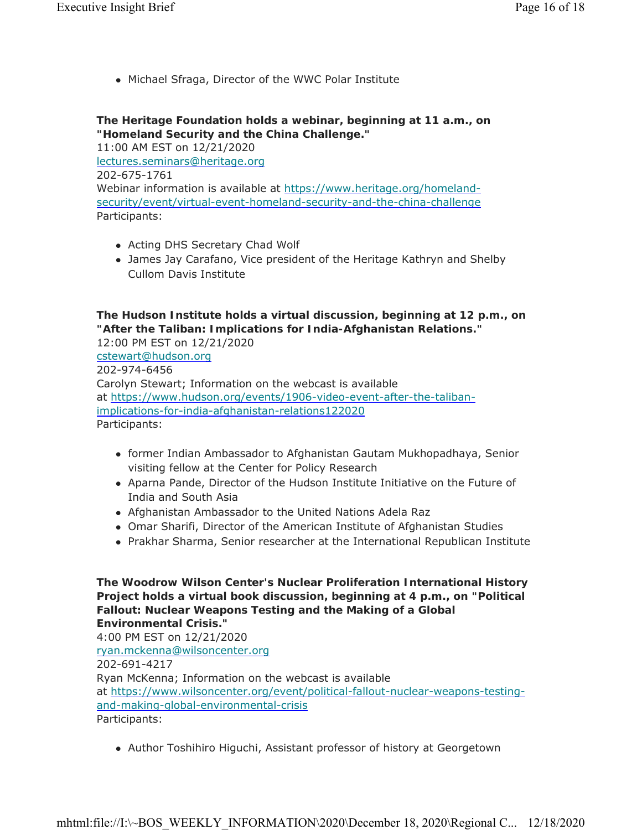Michael Sfraga, Director of the WWC Polar Institute

# **The Heritage Foundation holds a webinar, beginning at 11 a.m., on "Homeland Security and the China Challenge."**

11:00 AM EST on 12/21/2020 lectures.seminars@heritage.org 202-675-1761 Webinar information is available at https://www.heritage.org/homelandsecurity/event/virtual-event-homeland-security-and-the-china-challenge Participants:

- Acting DHS Secretary Chad Wolf
- James Jay Carafano, Vice president of the Heritage Kathryn and Shelby Cullom Davis Institute

# **The Hudson Institute holds a virtual discussion, beginning at 12 p.m., on "After the Taliban: Implications for India-Afghanistan Relations."**

12:00 PM EST on 12/21/2020 cstewart@hudson.org 202-974-6456 Carolyn Stewart; Information on the webcast is available at https://www.hudson.org/events/1906-video-event-after-the-talibanimplications-for-india-afghanistan-relations122020 Participants:

- former Indian Ambassador to Afghanistan Gautam Mukhopadhaya, Senior visiting fellow at the Center for Policy Research
- Aparna Pande, Director of the Hudson Institute Initiative on the Future of India and South Asia
- Afghanistan Ambassador to the United Nations Adela Raz
- Omar Sharifi, Director of the American Institute of Afghanistan Studies
- Prakhar Sharma, Senior researcher at the International Republican Institute

**The Woodrow Wilson Center's Nuclear Proliferation International History Project holds a virtual book discussion, beginning at 4 p.m., on "Political Fallout: Nuclear Weapons Testing and the Making of a Global Environmental Crisis."** 4:00 PM EST on 12/21/2020 ryan.mckenna@wilsoncenter.org 202-691-4217 Ryan McKenna; Information on the webcast is available at https://www.wilsoncenter.org/event/political-fallout-nuclear-weapons-testingand-making-global-environmental-crisis Participants:

Author Toshihiro Higuchi, Assistant professor of history at Georgetown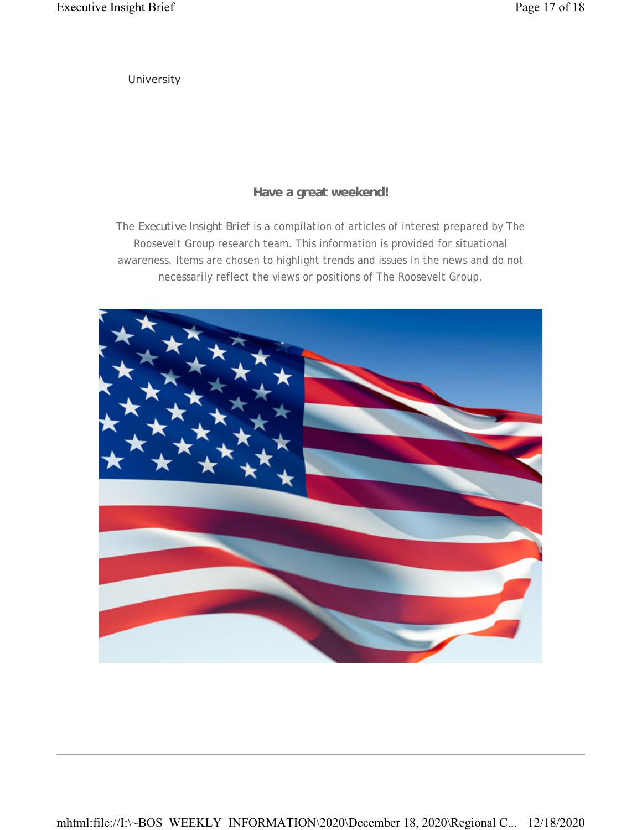University

# **Have a great weekend!**

The *Executive Insight Brief* is a compilation of articles of interest prepared by The Roosevelt Group research team. This information is provided for situational awareness. Items are chosen to highlight trends and issues in the news and do not necessarily reflect the views or positions of The Roosevelt Group.